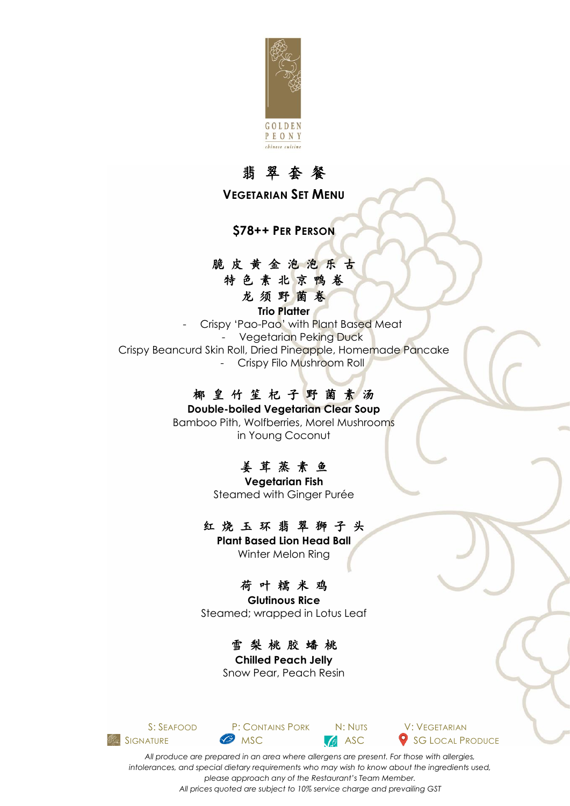

# 翡 翠 套 餐

**VEGETARIAN SET MENU**

**\$78++ PER PERSON**

#### 脆 皮 黄 金 泡 泡 乐 古

特色素北京鸭卷 龙须野菌卷

**Trio Platter**

- Crispy 'Pao-Pao' with Plant Based Meat - Vegetarian Peking Duck Crispy Beancurd Skin Roll, Dried Pineapple, Homemade Pancake - Crispy Filo Mushroom Roll

#### 椰 皇 竹 笙 杞 子 野 菌 素 汤

**Double-boiled Vegetarian Clear Soup**  Bamboo Pith, Wolfberries, Morel Mushrooms in Young Coconut

# 姜 茸 蒸 素 鱼

**Vegetarian Fish** Steamed with Ginger Purée

#### 红 烧 玉 环 翡 翠 狮 子 头

**Plant Based Lion Head Ball** Winter Melon Ring

# 荷 叶 糯 米 鸡

**Glutinous Rice** Steamed; wrapped in Lotus Leaf

# 雪 梨 桃 胶 蟠 桃

**Chilled Peach Jelly** Snow Pear, Peach Resin



S: SEAFOOD P: CONTAINS PORK N: NUTS V: VEGETARIAN **SIGNATURE MSC** MSC **ASC** SG LOCAL PRODUCE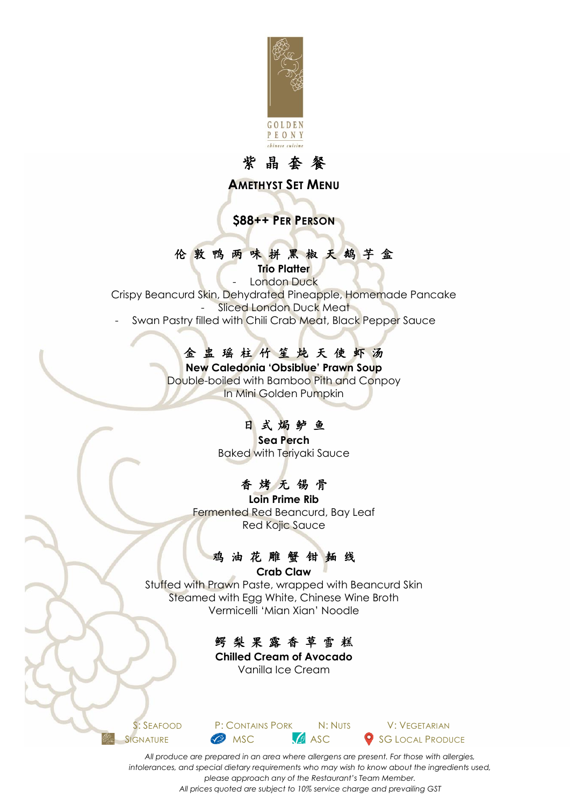

### 紫 晶 套 餐

**AMETHYST SET MENU**

**\$88++ PER PERSON**

#### 伦 敦 鸭 两 味 拼 黑 椒 天 鹅 芋 盒

**Trio Platter**

London Duck Crispy Beancurd Skin, Dehydrated Pineapple, Homemade Pancake Sliced London Duck Meat

Swan Pastry filled with Chili Crab Meat, Black Pepper Sauce

# 金 盅 瑶 柱 竹 笙 炖 天 使 虾 汤

**New Caledonia 'Obsiblue' Prawn Soup** Double-boiled with Bamboo Pith and Conpoy In Mini Golden Pumpkin

# 日式焗鲈鱼

**Sea Perch** Baked with Teriyaki Sauce

# 香 烤 无 锡 骨

**Loin Prime Rib** Fermented Red Beancurd, Bay Leaf Red Kojic Sauce

#### 鸡油花雕蟹钳麺线

**Crab Claw** Stuffed with Prawn Paste, wrapped with Beancurd Skin Steamed with Egg White, Chinese Wine Broth Vermicelli 'Mian Xian' Noodle



**Chilled Cream of Avocado** Vanilla Ice Cream

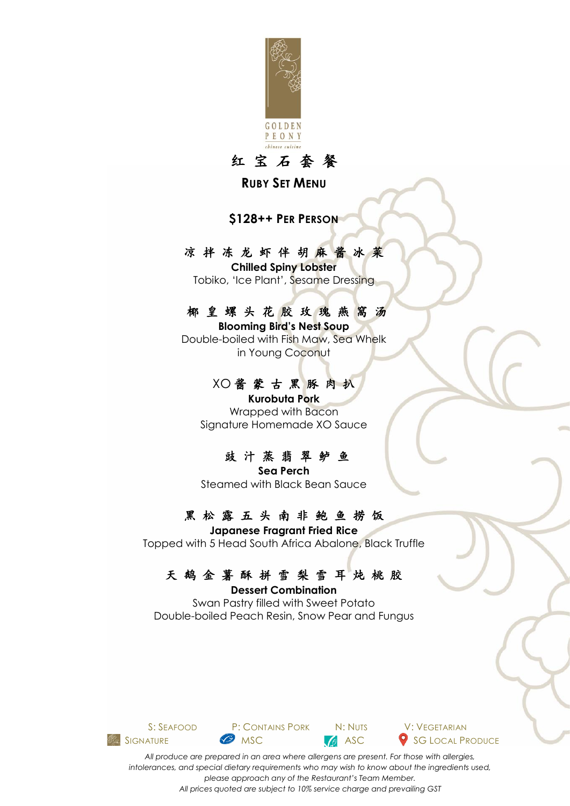

红 宝 石 套 餐

**RUBY SET MENU**

**\$128++ PER PERSON**

#### 凉 拌 冻 龙 虾 伴 胡 麻 酱 冰 菜

**Chilled Spiny Lobster** Tobiko, 'Ice Plant', Sesame Dressing

#### 椰 皇 螺 头 花 胶 玫 瑰 燕 窩 汤

**Blooming Bird's Nest Soup**  Double-boiled with Fish Maw, Sea Whelk in Young Coconut

#### XO 酱 蒙 古 黑 豚 肉 扒

**Kurobuta Pork** Wrapped with Bacon Signature Homemade XO Sauce

#### 豉 汁 蒸 翡 翠 鲈 鱼

**Sea Perch** Steamed with Black Bean Sauce

# 黑松露五头南非鲍鱼捞饭

**Japanese Fragrant Fried Rice** Topped with 5 Head South Africa Abalone, Black Truffle

#### 天 鹅 金 薯 酥 拼 雪 梨 雪 耳 炖 桃 胶

**Dessert Combination**  Swan Pastry filled with Sweet Potato Double-boiled Peach Resin, Snow Pear and Fungus



S: SEAFOOD P: CONTAINS PORK N: NUTS V: VEGETARIAN **SIGNATURE MSC** MSC ASC SG LOCAL PRODUCE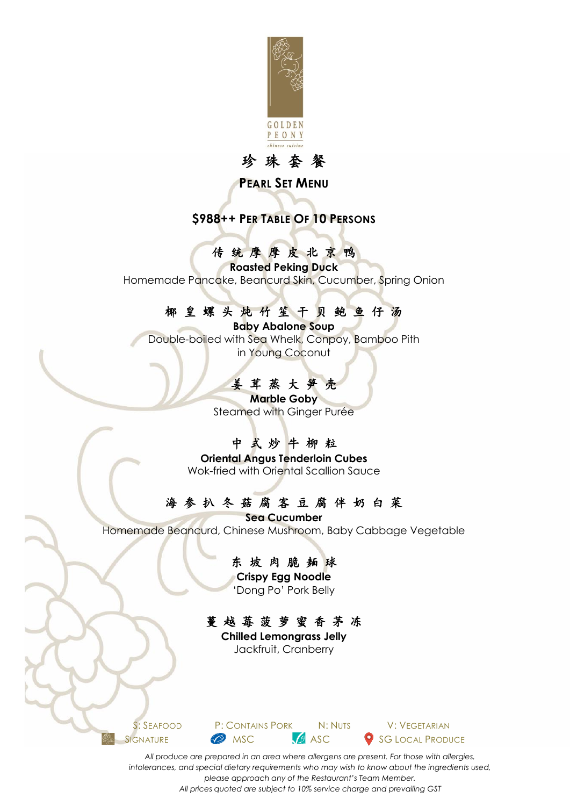

# 珍 珠 套 餐

#### **PEARL SET MENU**

### **\$988++ PER TABLE OF 10 PERSONS**

# 传统摩摩皮北京鸭

**Roasted Peking Duck** Homemade Pancake, Beancurd Skin, Cucumber, Spring Onion

### 椰 皇 螺 头 炖 竹 笙 干 贝 鲍 鱼 仔 汤

**Baby Abalone Soup**  Double-boiled with Sea Whelk, Conpoy, Bamboo Pith in Young Coconut

# 姜 茸 蒸 大 笋 壳

**Marble Goby** Steamed with Ginger Purée

# 中 式 炒 牛 柳 粒

**Oriental Angus Tenderloin Cubes** Wok-fried with Oriental Scallion Sauce

# 海 参 扒 冬 菇 腐 客 豆 腐 伴 奶 白 菜

**Sea Cucumber** Homemade Beancurd, Chinese Mushroom, Baby Cabbage Vegetable

#### 东坡肉脆麺球

**Crispy Egg Noodle** 'Dong Po' Pork Belly

# 蔓 越 莓 菠 萝 蜜 香 茅 冻

**Chilled Lemongrass Jelly** Jackfruit, Cranberry